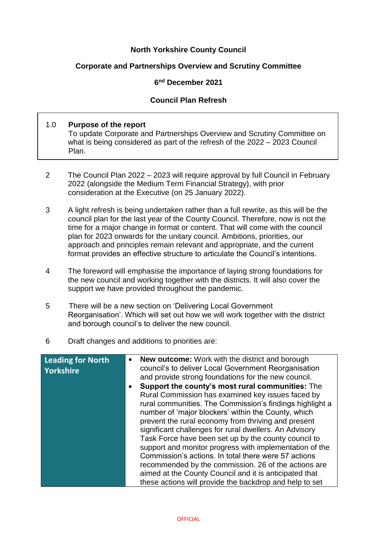# **North Yorkshire County Council**

### **Corporate and Partnerships Overview and Scrutiny Committee**

#### **6 nd December 2021**

### **Council Plan Refresh**

#### 1.0 **Purpose of the report**

To update Corporate and Partnerships Overview and Scrutiny Committee on what is being considered as part of the refresh of the 2022 – 2023 Council Plan.

- 2 The Council Plan 2022 2023 will require approval by full Council in February 2022 (alongside the Medium Term Financial Strategy), with prior consideration at the Executive (on 25 January 2022).
- 3 A light refresh is being undertaken rather than a full rewrite, as this will be the council plan for the last year of the County Council. Therefore, now is not the time for a major change in format or content. That will come with the council plan for 2023 onwards for the unitary council. Ambitions, priorities, our approach and principles remain relevant and appropriate, and the current format provides an effective structure to articulate the Council's intentions.
- 4 The foreword will emphasise the importance of laying strong foundations for the new council and working together with the districts. It will also cover the support we have provided throughout the pandemic.
- 5 There will be a new section on 'Delivering Local Government Reorganisation'. Which will set out how we will work together with the district and borough council's to deliver the new council.
- 6 Draft changes and additions to priorities are:

| <b>Leading for North</b><br><b>Yorkshire</b> | <b>New outcome:</b> Work with the district and borough<br>$\bullet$<br>council's to deliver Local Government Reorganisation<br>and provide strong foundations for the new council. |
|----------------------------------------------|------------------------------------------------------------------------------------------------------------------------------------------------------------------------------------|
|                                              | Support the county's most rural communities: The<br>$\bullet$                                                                                                                      |
|                                              | Rural Commission has examined key issues faced by                                                                                                                                  |
|                                              | rural communities. The Commission's findings highlight a                                                                                                                           |
|                                              | number of 'major blockers' within the County, which                                                                                                                                |
|                                              | prevent the rural economy from thriving and present                                                                                                                                |
|                                              | significant challenges for rural dwellers. An Advisory                                                                                                                             |
|                                              | Task Force have been set up by the county council to                                                                                                                               |
|                                              | support and monitor progress with implementation of the                                                                                                                            |
|                                              | Commission's actions. In total there were 57 actions                                                                                                                               |
|                                              | recommended by the commission. 26 of the actions are                                                                                                                               |
|                                              | aimed at the County Council and it is anticipated that                                                                                                                             |
|                                              | these actions will provide the backdrop and help to set                                                                                                                            |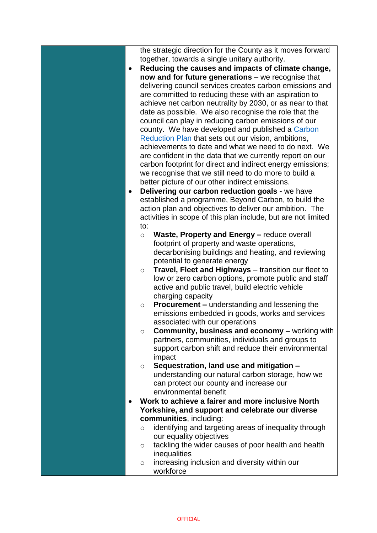the strategic direction for the County as it moves forward together, towards a single unitary authority.

- **Reducing the causes and impacts of climate change, now and for future generations** – we recognise that delivering council services creates carbon emissions and are committed to reducing these with an aspiration to achieve net carbon neutrality by 2030, or as near to that date as possible. We also recognise the role that the council can play in reducing carbon emissions of our county. We have developed and published a [Carbon](https://www.northyorks.gov.uk/beyond-carbon)  [Reduction Plan](https://www.northyorks.gov.uk/beyond-carbon) that sets out our vision, ambitions, achievements to date and what we need to do next. We are confident in the data that we currently report on our carbon footprint for direct and indirect energy emissions; we recognise that we still need to do more to build a better picture of our other indirect emissions.
- **Delivering our carbon reduction goals -** we have established a programme, Beyond Carbon, to build the action plan and objectives to deliver our ambition. The activities in scope of this plan include, but are not limited to:
	- o **Waste, Property and Energy –** reduce overall footprint of property and waste operations, decarbonising buildings and heating, and reviewing potential to generate energy
	- o **Travel, Fleet and Highways**  transition our fleet to low or zero carbon options, promote public and staff active and public travel, build electric vehicle charging capacity
	- o **Procurement –** understanding and lessening the emissions embedded in goods, works and services associated with our operations
	- o **Community, business and economy –** working with partners, communities, individuals and groups to support carbon shift and reduce their environmental impact
	- o **Sequestration, land use and mitigation –** understanding our natural carbon storage, how we can protect our county and increase our environmental benefit
- **Work to achieve a fairer and more inclusive North Yorkshire, and support and celebrate our diverse communities**, including:
	- o identifying and targeting areas of inequality through our [equality objectives](https://www.northyorks.gov.uk/equal-opportunities-information)
	- o tackling the wider causes of poor health and health **inequalities**
	- o increasing inclusion and diversity within our workforce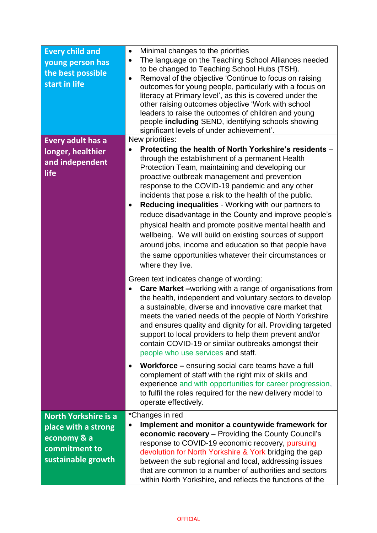| <b>Every child and</b><br>young person has<br>the best possible<br>start in life                         | Minimal changes to the priorities<br>$\bullet$<br>The language on the Teaching School Alliances needed<br>$\bullet$<br>to be changed to Teaching School Hubs (TSH).<br>Removal of the objective 'Continue to focus on raising<br>$\bullet$<br>outcomes for young people, particularly with a focus on<br>literacy at Primary level', as this is covered under the<br>other raising outcomes objective 'Work with school<br>leaders to raise the outcomes of children and young<br>people including SEND, identifying schools showing<br>significant levels of under achievement'.                                                                                                                             |
|----------------------------------------------------------------------------------------------------------|---------------------------------------------------------------------------------------------------------------------------------------------------------------------------------------------------------------------------------------------------------------------------------------------------------------------------------------------------------------------------------------------------------------------------------------------------------------------------------------------------------------------------------------------------------------------------------------------------------------------------------------------------------------------------------------------------------------|
| <b>Every adult has a</b>                                                                                 | New priorities:                                                                                                                                                                                                                                                                                                                                                                                                                                                                                                                                                                                                                                                                                               |
| longer, healthier<br>and independent<br>life                                                             | Protecting the health of North Yorkshire's residents -<br>through the establishment of a permanent Health<br>Protection Team, maintaining and developing our<br>proactive outbreak management and prevention<br>response to the COVID-19 pandemic and any other<br>incidents that pose a risk to the health of the public.<br>Reducing inequalities - Working with our partners to<br>٠<br>reduce disadvantage in the County and improve people's<br>physical health and promote positive mental health and<br>wellbeing. We will build on existing sources of support<br>around jobs, income and education so that people have<br>the same opportunities whatever their circumstances or<br>where they live. |
|                                                                                                          | Green text indicates change of wording:<br><b>Care Market -</b> working with a range of organisations from<br>the health, independent and voluntary sectors to develop<br>a sustainable, diverse and innovative care market that<br>meets the varied needs of the people of North Yorkshire<br>and ensures quality and dignity for all. Providing targeted<br>support to local providers to help them prevent and/or<br>contain COVID-19 or similar outbreaks amongst their<br>people who use services and staff.                                                                                                                                                                                             |
|                                                                                                          | <b>Workforce - ensuring social care teams have a full</b><br>$\bullet$<br>complement of staff with the right mix of skills and<br>experience and with opportunities for career progression,<br>to fulfil the roles required for the new delivery model to<br>operate effectively.                                                                                                                                                                                                                                                                                                                                                                                                                             |
| <b>North Yorkshire is a</b><br>place with a strong<br>economy & a<br>commitment to<br>sustainable growth | *Changes in red<br>Implement and monitor a countywide framework for<br>economic recovery - Providing the County Council's<br>response to COVID-19 economic recovery, pursuing<br>devolution for North Yorkshire & York bridging the gap<br>between the sub regional and local, addressing issues<br>that are common to a number of authorities and sectors<br>within North Yorkshire, and reflects the functions of the                                                                                                                                                                                                                                                                                       |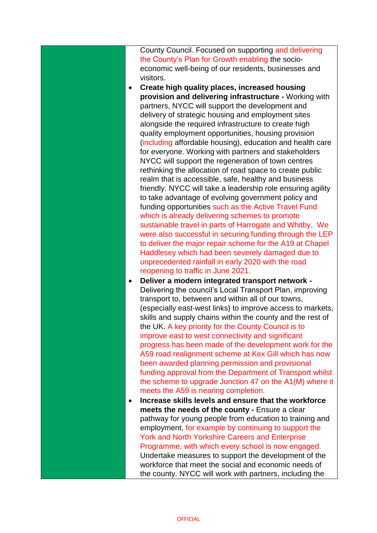County Council. Focused on supporting and delivering the County's Plan for Growth enabling the socioeconomic well-being of our residents, businesses and visitors.

- **Create high quality places, increased housing provision and delivering infrastructure -** Working with partners, NYCC will support the development and delivery of strategic housing and employment sites alongside the required infrastructure to create high quality employment opportunities, housing provision (including affordable housing), education and health care for everyone. Working with partners and stakeholders NYCC will support the regeneration of town centres rethinking the allocation of road space to create public realm that is accessible, safe, healthy and business friendly. NYCC will take a leadership role ensuring agility to take advantage of evolving government policy and funding opportunities such as the Active Travel Fund which is already delivering schemes to promote sustainable travel in parts of Harrogate and Whitby. We were also successful in securing funding through the LEP to deliver the major repair scheme for the A19 at Chapel Haddlesey which had been severely damaged due to unprecedented rainfall in early 2020 with the road reopening to traffic in June 2021.
- **Deliver a modern integrated transport network -** Delivering the council's Local Transport Plan, improving transport to, between and within all of our towns, (especially east-west links) to improve access to markets, skills and supply chains within the county and the rest of the UK. A key priority for the County Council is to improve east to west connectivity and significant progress has been made of the development work for the A59 road realignment scheme at Kex Gill which has now been awarded planning permission and provisional funding approval from the Department of Transport whilst the scheme to upgrade Junction 47 on the A1(M) where it meets the A59 is nearing completion.
- **Increase skills levels and ensure that the workforce meets the needs of the county -** Ensure a clear pathway for young people from education to training and employment, for example by continuing to support the York and North Yorkshire Careers and Enterprise Programme, with which every school is now engaged. Undertake measures to support the development of the workforce that meet the social and economic needs of the county. NYCC will work with partners, including the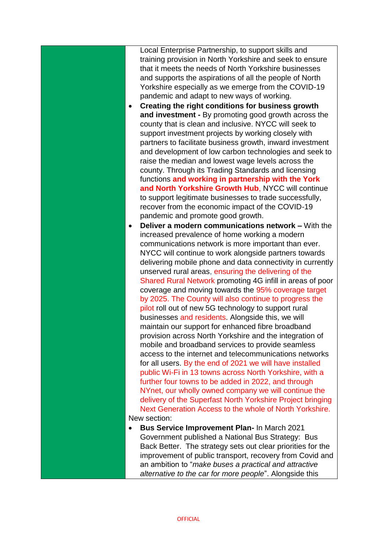Local Enterprise Partnership, to support skills and training provision in North Yorkshire and seek to ensure that it meets the needs of North Yorkshire businesses and supports the aspirations of all the people of North Yorkshire especially as we emerge from the COVID-19 pandemic and adapt to new ways of working.

- **Creating the right conditions for business growth and investment -** By promoting good growth across the county that is clean and inclusive. NYCC will seek to support investment projects by working closely with partners to facilitate business growth, inward investment and development of low carbon technologies and seek to raise the median and lowest wage levels across the county. Through its Trading Standards and licensing functions **and working in partnership with the York and North Yorkshire Growth Hub**, NYCC will continue to support legitimate businesses to trade successfully, recover from the economic impact of the COVID-19 pandemic and promote good growth.
- **Deliver a modern communications network –** With the increased prevalence of home working a modern communications network is more important than ever. NYCC will continue to work alongside partners towards delivering mobile phone and data connectivity in currently unserved rural areas, ensuring the delivering of the Shared Rural Network promoting 4G infill in areas of poor coverage and moving towards the 95% coverage target by 2025. The County will also continue to progress the pilot roll out of new 5G technology to support rural businesses and residents. Alongside this, we will maintain our support for enhanced fibre broadband provision across North Yorkshire and the integration of mobile and broadband services to provide seamless access to the internet and telecommunications networks for all users. By the end of 2021 we will have installed public Wi-Fi in 13 towns across North Yorkshire, with a further four towns to be added in 2022, and through NYnet, our wholly owned company we will continue the delivery of the Superfast North Yorkshire Project bringing Next Generation Access to the whole of North Yorkshire. New section:

 **Bus Service Improvement Plan-** In March 2021 Government published a National Bus Strategy: Bus Back Better. The strategy sets out clear priorities for the improvement of public transport, recovery from Covid and an ambition to "*make buses a practical and attractive alternative to the car for more people*". Alongside this